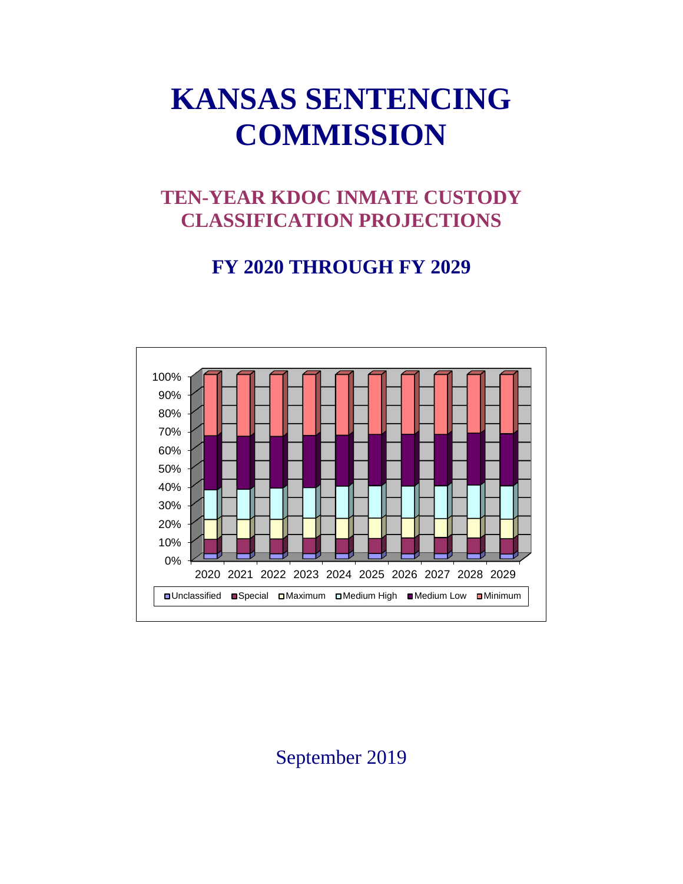# **KANSAS SENTENCING COMMISSION**

## **TEN-YEAR KDOC INMATE CUSTODY CLASSIFICATION PROJECTIONS**

### **FY 2020 THROUGH FY 2029**



September 2019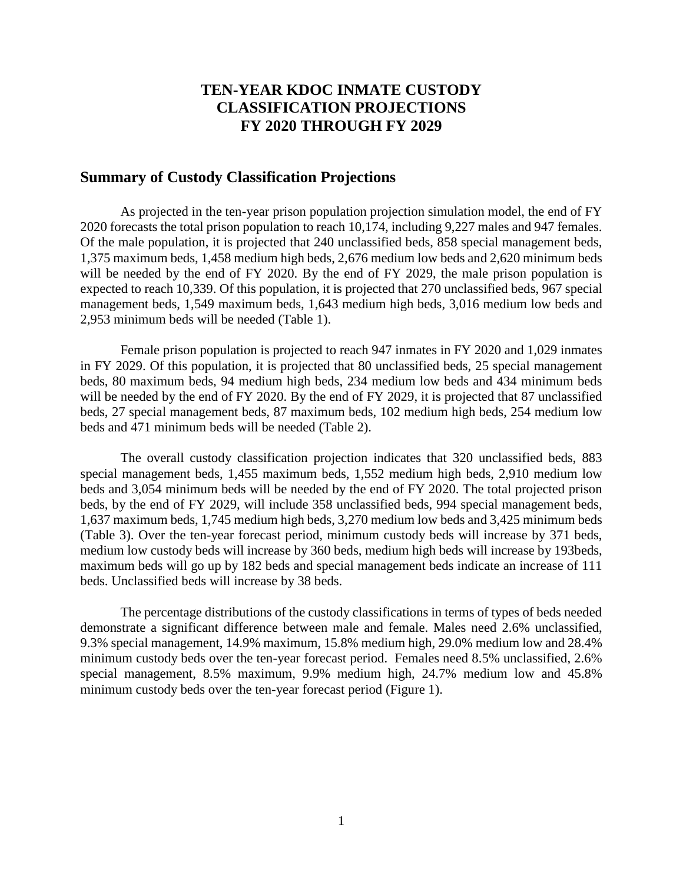#### **TEN-YEAR KDOC INMATE CUSTODY CLASSIFICATION PROJECTIONS FY 2020 THROUGH FY 2029**

#### **Summary of Custody Classification Projections**

As projected in the ten-year prison population projection simulation model, the end of FY 2020 forecasts the total prison population to reach 10,174, including 9,227 males and 947 females. Of the male population, it is projected that 240 unclassified beds, 858 special management beds, 1,375 maximum beds, 1,458 medium high beds, 2,676 medium low beds and 2,620 minimum beds will be needed by the end of FY 2020. By the end of FY 2029, the male prison population is expected to reach 10,339. Of this population, it is projected that 270 unclassified beds, 967 special management beds, 1,549 maximum beds, 1,643 medium high beds, 3,016 medium low beds and 2,953 minimum beds will be needed (Table 1).

Female prison population is projected to reach 947 inmates in FY 2020 and 1,029 inmates in FY 2029. Of this population, it is projected that 80 unclassified beds, 25 special management beds, 80 maximum beds, 94 medium high beds, 234 medium low beds and 434 minimum beds will be needed by the end of FY 2020. By the end of FY 2029, it is projected that 87 unclassified beds, 27 special management beds, 87 maximum beds, 102 medium high beds, 254 medium low beds and 471 minimum beds will be needed (Table 2).

The overall custody classification projection indicates that 320 unclassified beds, 883 special management beds, 1,455 maximum beds, 1,552 medium high beds, 2,910 medium low beds and 3,054 minimum beds will be needed by the end of FY 2020. The total projected prison beds, by the end of FY 2029, will include 358 unclassified beds, 994 special management beds, 1,637 maximum beds, 1,745 medium high beds, 3,270 medium low beds and 3,425 minimum beds (Table 3). Over the ten-year forecast period, minimum custody beds will increase by 371 beds, medium low custody beds will increase by 360 beds, medium high beds will increase by 193beds, maximum beds will go up by 182 beds and special management beds indicate an increase of 111 beds. Unclassified beds will increase by 38 beds.

The percentage distributions of the custody classifications in terms of types of beds needed demonstrate a significant difference between male and female. Males need 2.6% unclassified, 9.3% special management, 14.9% maximum, 15.8% medium high, 29.0% medium low and 28.4% minimum custody beds over the ten-year forecast period. Females need 8.5% unclassified, 2.6% special management, 8.5% maximum, 9.9% medium high, 24.7% medium low and 45.8% minimum custody beds over the ten-year forecast period (Figure 1).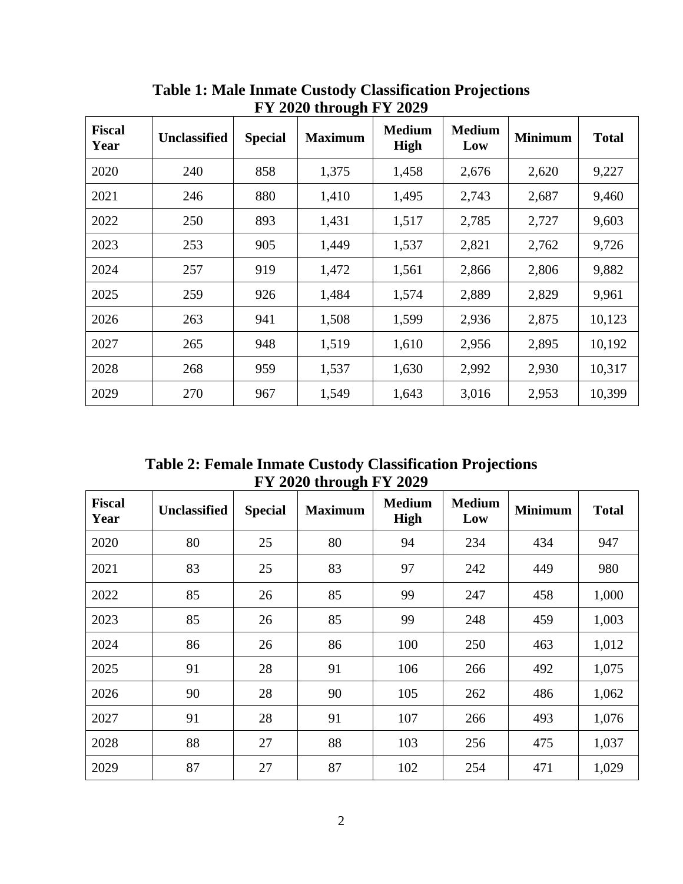| $112020$ through 1 1 2027 |                     |                |                |                       |                      |                |              |  |
|---------------------------|---------------------|----------------|----------------|-----------------------|----------------------|----------------|--------------|--|
| <b>Fiscal</b><br>Year     | <b>Unclassified</b> | <b>Special</b> | <b>Maximum</b> | <b>Medium</b><br>High | <b>Medium</b><br>Low | <b>Minimum</b> | <b>Total</b> |  |
| 2020                      | 240                 | 858            | 1,375          | 1,458                 | 2,676                | 2,620          | 9,227        |  |
| 2021                      | 246                 | 880            | 1,410          | 1,495                 | 2,743                | 2,687          | 9,460        |  |
| 2022                      | 250                 | 893            | 1,431          | 1,517                 | 2,785                | 2,727          | 9,603        |  |
| 2023                      | 253                 | 905            | 1,449          | 1,537                 | 2,821                | 2,762          | 9,726        |  |
| 2024                      | 257                 | 919            | 1,472          | 1,561                 | 2,866                | 2,806          | 9,882        |  |
| 2025                      | 259                 | 926            | 1,484          | 1,574                 | 2,889                | 2,829          | 9,961        |  |
| 2026                      | 263                 | 941            | 1,508          | 1,599                 | 2,936                | 2,875          | 10,123       |  |
| 2027                      | 265                 | 948            | 1,519          | 1,610                 | 2,956                | 2,895          | 10,192       |  |
| 2028                      | 268                 | 959            | 1,537          | 1,630                 | 2,992                | 2,930          | 10,317       |  |
| 2029                      | 270                 | 967            | 1,549          | 1,643                 | 3,016                | 2,953          | 10,399       |  |

**Table 1: Male Inmate Custody Classification Projections FY 2020 through FY 2029**

**Table 2: Female Inmate Custody Classification Projections FY 2020 through FY 2029**

| <b>Fiscal</b><br>Year | <b>Unclassified</b> | <b>Special</b> | <b>Maximum</b> | <b>Medium</b><br>High | <b>Medium</b><br>Low | <b>Minimum</b> | <b>Total</b> |
|-----------------------|---------------------|----------------|----------------|-----------------------|----------------------|----------------|--------------|
| 2020                  | 80                  | 25             | 80             | 94                    | 234                  | 434            | 947          |
| 2021                  | 83                  | 25             | 83             | 97                    | 242                  | 449            | 980          |
| 2022                  | 85                  | 26             | 85             | 99                    | 247                  | 458            | 1,000        |
| 2023                  | 85                  | 26             | 85             | 99                    | 248                  | 459            | 1,003        |
| 2024                  | 86                  | 26             | 86             | 100                   | 250                  | 463            | 1,012        |
| 2025                  | 91                  | 28             | 91             | 106                   | 266                  | 492            | 1,075        |
| 2026                  | 90                  | 28             | 90             | 105                   | 262                  | 486            | 1,062        |
| 2027                  | 91                  | 28             | 91             | 107                   | 266                  | 493            | 1,076        |
| 2028                  | 88                  | 27             | 88             | 103                   | 256                  | 475            | 1,037        |
| 2029                  | 87                  | 27             | 87             | 102                   | 254                  | 471            | 1,029        |